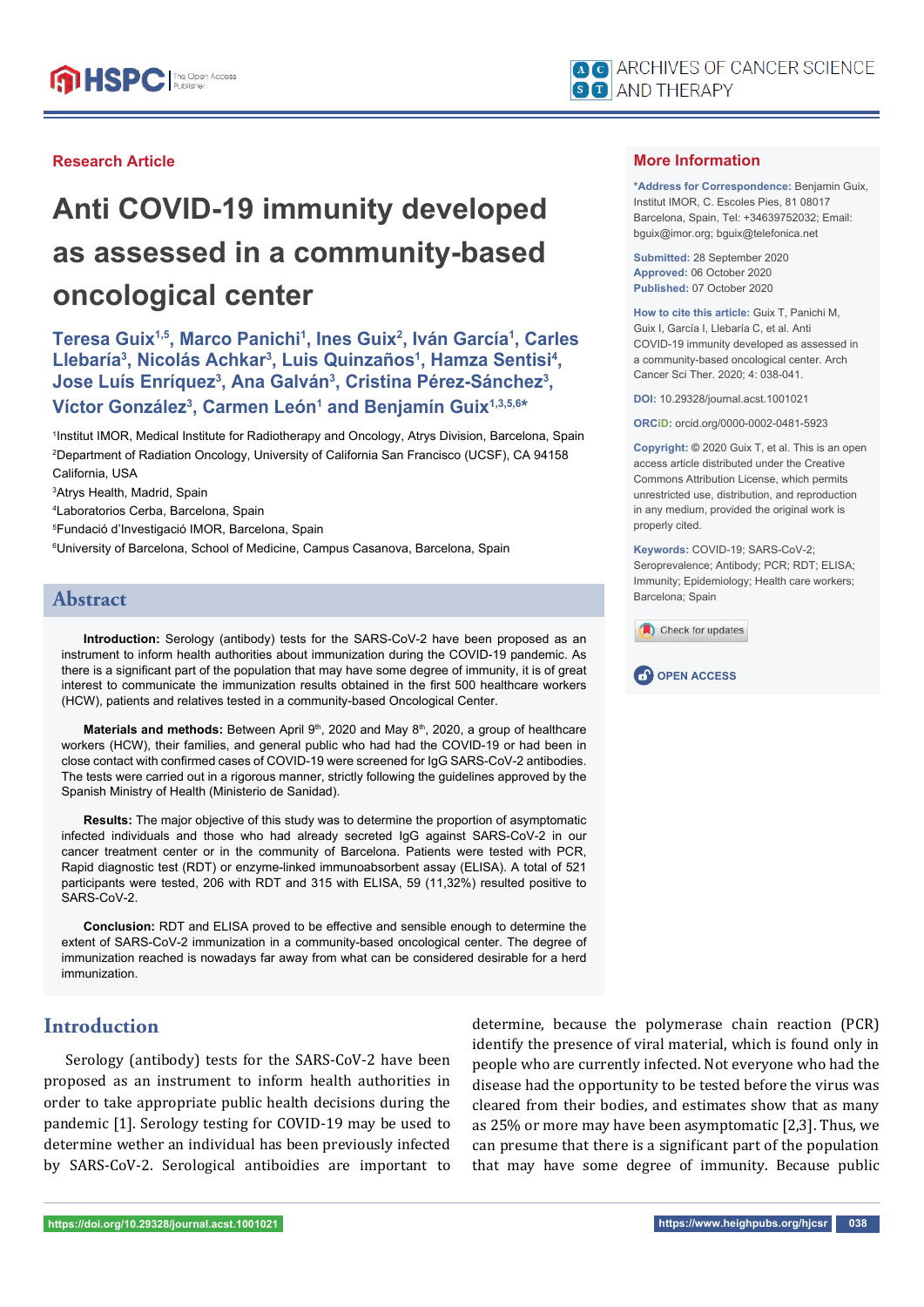

## **Research Article**

# **Anti COVID-19 immunity developed as assessed in a community-based oncological center**

**Teresa Guix1,5, Marco Panichi1 , Ines Guix2 , Iván García1 , Carles**  Llebaría<sup>3</sup>, Nicolás Achkar<sup>3</sup>, Luis Quinzaños<sup>1</sup>, Hamza Sentisi<sup>4</sup>, Jose Luís Enríquez<sup>3</sup>, Ana Galván<sup>3</sup>, Cristina Pérez-Sánchez<sup>3</sup>, **Víctor González3 , Carmen León1 and Benjamín Guix1,3,5,6\***

1 Institut IMOR, Medical Institute for Radiotherapy and Oncology, Atrys Division, Barcelona, Spain 2 Department of Radiation Oncology, University of California San Francisco (UCSF), CA 94158 California, USA

3 Atrys Health, Madrid, Spain

4 Laboratorios Cerba, Barcelona, Spain

5 Fundació d'Investigació IMOR, Barcelona, Spain

 $^6$ University of Barcelona, School of Medicine, Campus Casanova, Barcelona, Spain

# **Abstract**

**Introduction:** Serology (antibody) tests for the SARS-CoV-2 have been proposed as an instrument to inform health authorities about immunization during the COVID-19 pandemic. As there is a significant part of the population that may have some degree of immunity, it is of great interest to communicate the immunization results obtained in the first 500 healthcare workers (HCW), patients and relatives tested in a community-based Oncological Center.

Materials and methods: Between April 9<sup>th</sup>, 2020 and May 8<sup>th</sup>, 2020, a group of healthcare workers (HCW), their families, and general public who had had the COVID-19 or had been in close contact with confirmed cases of COVID-19 were screened for IgG SARS-CoV-2 antibodies. The tests were carried out in a rigorous manner, strictly following the guidelines approved by the Spanish Ministry of Health (Ministerio de Sanidad).

**Results:** The major objective of this study was to determine the proportion of asymptomatic infected individuals and those who had already secreted IgG against SARS-CoV-2 in our cancer treatment center or in the community of Barcelona. Patients were tested with PCR, Rapid diagnostic test (RDT) or enzyme-linked immunoabsorbent assay (ELISA). A total of 521 participants were tested, 206 with RDT and 315 with ELISA, 59 (11,32%) resulted positive to SARS-CoV-2.

**Conclusion:** RDT and ELISA proved to be effective and sensible enough to determine the extent of SARS-CoV-2 immunization in a community-based oncological center. The degree of immunization reached is nowadays far away from what can be considered desirable for a herd immunization.

## **Introduction**

Serology (antibody) tests for the SARS-CoV-2 have been proposed as an instrument to inform health authorities in order to take appropriate public health decisions during the pandemic [1]. Serology testing for COVID-19 may be used to determine wether an individual has been previously infected by SARS-CoV-2. Serological antiboidies are important to determine, because the polymerase chain reaction (PCR) identify the presence of viral material, which is found only in people who are currently infected. Not everyone who had the disease had the opportunity to be tested before the virus was cleared from their bodies, and estimates show that as many as 25% or more may have been asymptomatic [2,3]. Thus, we can presume that there is a significant part of the population that may have some degree of immunity. Because public

**\*Address for Correspondence:** Benjamin Guix, Institut IMOR, C. Escoles Pies, 81 08017 Barcelona, Spain, Tel: +34639752032; Email: bguix@imor.org; bguix@telefonica.net

**Submitted:** 28 September 2020 **Approved:** 06 October 2020 **Published:** 07 October 2020

**How to cite this article:** Guix T, Panichi M, Guix I, García I, Llebaría C, et al. Anti COVID-19 immunity developed as assessed in a community-based oncological center. Arch Cancer Sci Ther. 2020; 4: 038-041.

**DOI:** 10.29328/journal.acst.1001021

**ORCiD:** orcid.org/0000-0002-0481-5923

**Copyright: ©** 2020 Guix T, et al. This is an open access article distributed under the Creative Commons Attribution License, which permits unrestricted use, distribution, and reproduction in any medium, provided the original work is properly cited.

**Keywords:** COVID-19; SARS-CoV-2; Seroprevalence; Antibody; PCR; RDT; ELISA; Immunity; Epidemiology; Health care workers; Barcelona; Spain



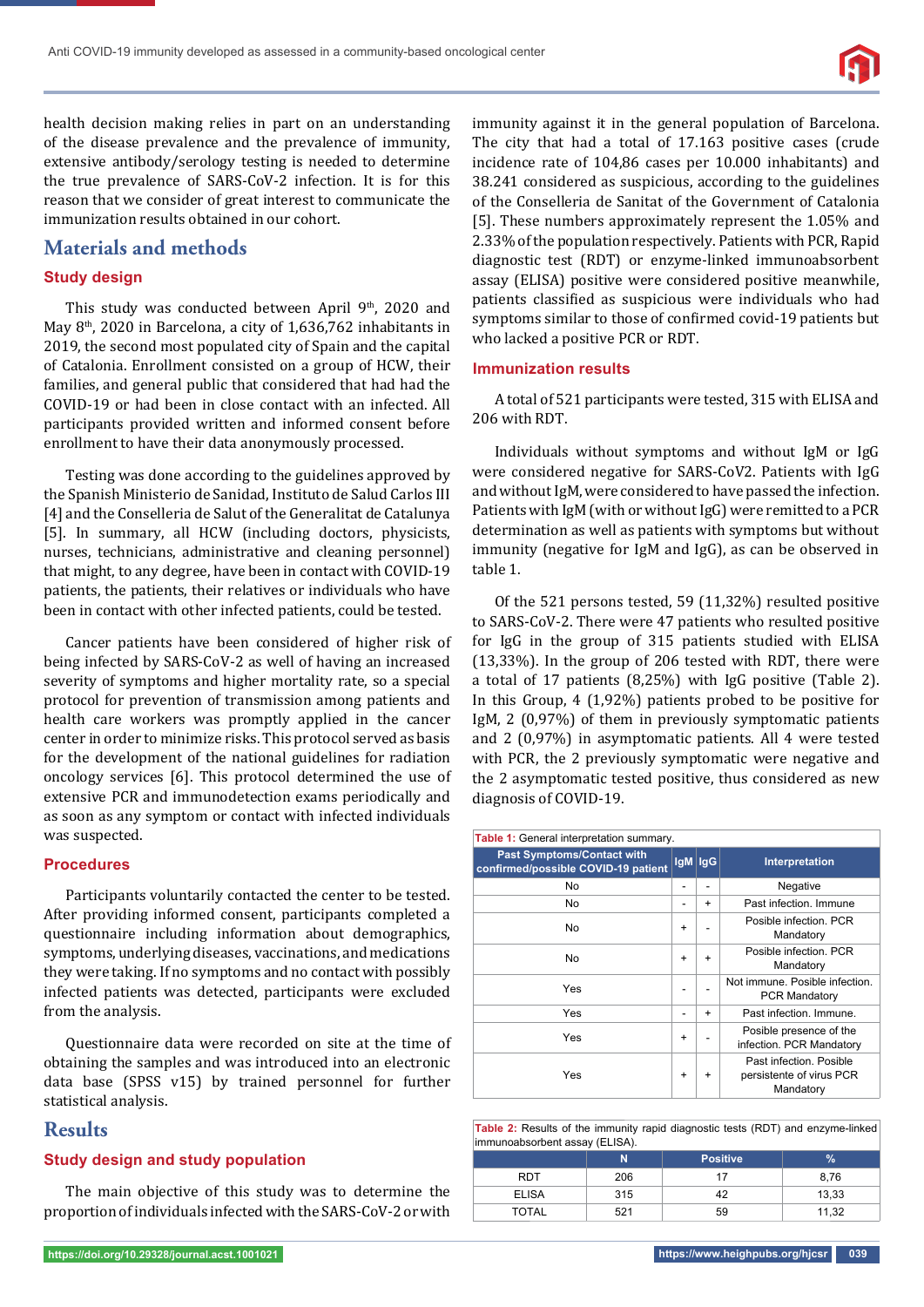

health decision making relies in part on an understanding of the disease prevalence and the prevalence of immunity, extensive antibody/serology testing is needed to determine the true prevalence of SARS-CoV-2 infection. It is for this reason that we consider of great interest to communicate the immunization results obtained in our cohort.

## **Materials and methods**

### **Study design**

This study was conducted between April 9<sup>th</sup>, 2020 and May 8th, 2020 in Barcelona, a city of 1,636,762 inhabitants in 2019, the second most populated city of Spain and the capital of Catalonia. Enrollment consisted on a group of HCW, their families, and general public that considered that had had the COVID-19 or had been in close contact with an infected. All participants provided written and informed consent before enrollment to have their data anonymously processed.

Testing was done according to the guidelines approved by the Spanish Ministerio de Sanidad, Instituto de Salud Carlos III [4] and the Conselleria de Salut of the Generalitat de Catalunya [5]. In summary, all HCW (including doctors, physicists, nurses, technicians, administrative and cleaning personnel) that might, to any degree, have been in contact with COVID-19 patients, the patients, their relatives or individuals who have been in contact with other infected patients, could be tested.

Cancer patients have been considered of higher risk of being infected by SARS-CoV-2 as well of having an increased severity of symptoms and higher mortality rate, so a special protocol for prevention of transmission among patients and health care workers was promptly applied in the cancer center in order to minimize risks. This protocol served as basis for the development of the national guidelines for radiation oncology services [6]. This protocol determined the use of extensive PCR and immunodetection exams periodically and as soon as any symptom or contact with infected individuals was suspected.

#### **Procedures**

Participants voluntarily contacted the center to be tested. After providing informed consent, participants completed a questionnaire including information about demographics, symptoms, underlying diseases, vaccinations, and medications they were taking. If no symptoms and no contact with possibly infected patients was detected, participants were excluded from the analysis.

Questionnaire data were recorded on site at the time of obtaining the samples and was introduced into an electronic data base (SPSS v15) by trained personnel for further statistical analysis.

## **Results**

#### **Study design and study population**

The main objective of this study was to determine the proportion of individuals infected with the SARS-CoV-2 or with immunity against it in the general population of Barcelona. The city that had a total of 17.163 positive cases (crude incidence rate of 104,86 cases per 10.000 inhabitants) and 38.241 considered as suspicious, according to the guidelines of the Conselleria de Sanitat of the Government of Catalonia [5]. These numbers approximately represent the 1.05% and 2.33% of the population respectively. Patients with PCR, Rapid diagnostic test (RDT) or enzyme-linked immunoabsorbent assay (ELISA) positive were considered positive meanwhile, patients classified as suspicious were individuals who had symptoms similar to those of confirmed covid-19 patients but who lacked a positive PCR or RDT.

#### **Immunization results**

A total of 521 participants were tested, 315 with ELISA and 206 with RDT.

Individuals without symptoms and without IgM or IgG were considered negative for SARS-CoV2. Patients with IgG and without IgM, were considered to have passed the infection. Patients with IgM (with or without IgG) were remitted to a PCR determination as well as patients with symptoms but without immunity (negative for IgM and IgG), as can be observed in table 1.

Of the 521 persons tested, 59 (11,32%) resulted positive to SARS-CoV-2. There were 47 patients who resulted positive for IgG in the group of 315 patients studied with ELISA (13,33%). In the group of 206 tested with RDT, there were a total of 17 patients (8,25%) with IgG positive (Table 2). In this Group, 4 (1,92%) patients probed to be positive for IgM, 2 (0,97%) of them in previously symptomatic patients and 2 (0,97%) in asymptomatic patients. All 4 were tested with PCR, the 2 previously symptomatic were negative and the 2 asymptomatic tested positive, thus considered as new diagnosis of COVID-19.

| Table 1: General interpretation summary.                                 |           |             |                                                                  |  |  |  |  |
|--------------------------------------------------------------------------|-----------|-------------|------------------------------------------------------------------|--|--|--|--|
| <b>Past Symptoms/Contact with</b><br>confirmed/possible COVID-19 patient |           | $lgM$ $lgG$ | <b>Interpretation</b>                                            |  |  |  |  |
| No                                                                       |           |             | Negative                                                         |  |  |  |  |
| No.                                                                      |           | $\ddot{}$   | Past infection. Immune                                           |  |  |  |  |
| No.                                                                      | $\ddot{}$ |             | Posible infection. PCR<br>Mandatory                              |  |  |  |  |
| No.                                                                      | $\ddot{}$ | $\ddot{}$   | Posible infection. PCR<br>Mandatory                              |  |  |  |  |
| Yes                                                                      |           |             | Not immune. Posible infection.<br><b>PCR Mandatory</b>           |  |  |  |  |
| Yes                                                                      |           | $\ddot{}$   | Past infection. Immune.                                          |  |  |  |  |
| Yes                                                                      | ÷         |             | Posible presence of the<br>infection. PCR Mandatory              |  |  |  |  |
| Yes                                                                      | ÷         | $\ddot{}$   | Past infection. Posible<br>persistente of virus PCR<br>Mandatory |  |  |  |  |

**Table 2:** Results of the immunity rapid diagnostic tests (RDT) and enzyme-linked immunoabsorbent assay (ELISA).

|              | N   | <b>Positive</b> | $\%$  |
|--------------|-----|-----------------|-------|
| RDT          | 206 |                 | 8,76  |
| <b>ELISA</b> | 315 | 42              | 13,33 |
| TOTAL        | 521 | 59              | 11,32 |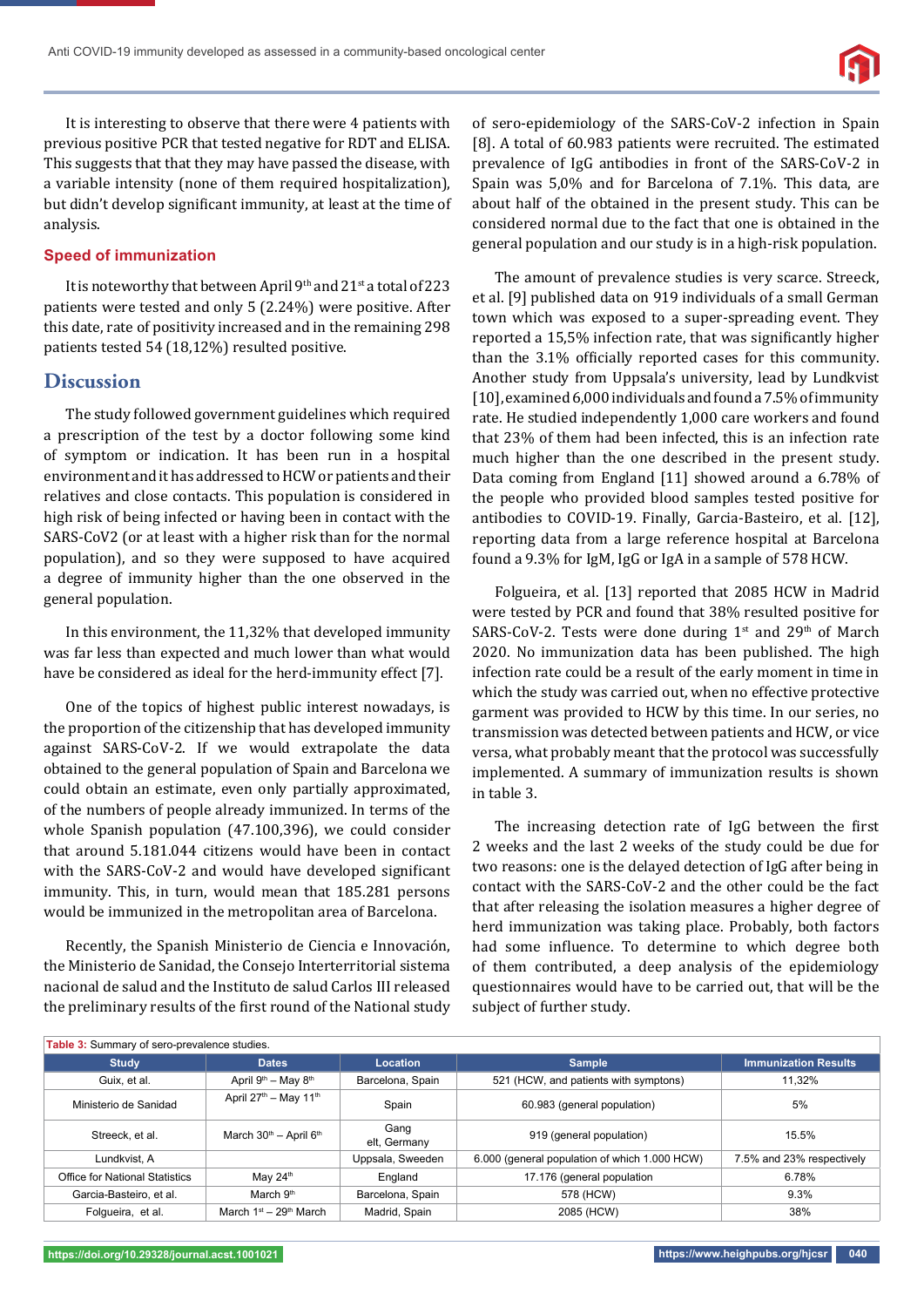

It is interesting to observe that there were 4 patients with previous positive PCR that tested negative for RDT and ELISA. This suggests that that they may have passed the disease, with a variable intensity (none of them required hospitalization), but didn't develop significant immunity, at least at the time of analysis.

## **Speed of immunization**

It is noteworthy that between April 9th and  $21$ <sup>st</sup> a total of 223 patients were tested and only 5 (2.24%) were positive. After this date, rate of positivity increased and in the remaining 298 patients tested 54 (18,12%) resulted positive.

## **Discussion**

The study followed government guidelines which required a prescription of the test by a doctor following some kind of symptom or indication. It has been run in a hospital environment and it has addressed to HCW or patients and their relatives and close contacts. This population is considered in high risk of being infected or having been in contact with the SARS-CoV2 (or at least with a higher risk than for the normal population), and so they were supposed to have acquired a degree of immunity higher than the one observed in the general population.

In this environment, the 11,32% that developed immunity was far less than expected and much lower than what would have be considered as ideal for the herd-immunity effect [7].

One of the topics of highest public interest nowadays, is the proportion of the citizenship that has developed immunity against SARS-CoV-2. If we would extrapolate the data obtained to the general population of Spain and Barcelona we could obtain an estimate, even only partially approximated, of the numbers of people already immunized. In terms of the whole Spanish population (47.100,396), we could consider that around 5.181.044 citizens would have been in contact with the SARS-CoV-2 and would have developed significant immunity. This, in turn, would mean that 185.281 persons would be immunized in the metropolitan area of Barcelona.

Recently, the Spanish Ministerio de Ciencia e Innovación, the Ministerio de Sanidad, the Consejo Interterritorial sistema nacional de salud and the Instituto de salud Carlos III released the preliminary results of the first round of the National study of sero-epidemiology of the SARS-CoV-2 infection in Spain [8]. A total of 60.983 patients were recruited. The estimated prevalence of IgG antibodies in front of the SARS-CoV-2 in Spain was 5,0% and for Barcelona of 7.1%. This data, are about half of the obtained in the present study. This can be considered normal due to the fact that one is obtained in the general population and our study is in a high-risk population.

The amount of prevalence studies is very scarce. Streeck, et al. [9] published data on 919 individuals of a small German town which was exposed to a super-spreading event. They reported a 15,5% infection rate, that was significantly higher than the 3.1% officially reported cases for this community. Another study from Uppsala's university, lead by Lundkvist [10], examined 6,000 individuals and found a 7.5% of immunity rate. He studied independently 1,000 care workers and found that 23% of them had been infected, this is an infection rate much higher than the one described in the present study. Data coming from England [11] showed around a 6.78% of the people who provided blood samples tested positive for antibodies to COVID-19. Finally, Garcia-Basteiro, et al. [12], reporting data from a large reference hospital at Barcelona found a 9.3% for IgM, IgG or IgA in a sample of 578 HCW.

Folgueira, et al. [13] reported that 2085 HCW in Madrid were tested by PCR and found that 38% resulted positive for SARS-CoV-2. Tests were done during  $1^{st}$  and  $29^{th}$  of March 2020. No immunization data has been published. The high infection rate could be a result of the early moment in time in which the study was carried out, when no effective protective garment was provided to HCW by this time. In our series, no transmission was detected between patients and HCW, or vice versa, what probably meant that the protocol was successfully implemented. A summary of immunization results is shown in table 3.

The increasing detection rate of IgG between the first 2 weeks and the last 2 weeks of the study could be due for two reasons: one is the delayed detection of IgG after being in contact with the SARS-CoV-2 and the other could be the fact that after releasing the isolation measures a higher degree of herd immunization was taking place. Probably, both factors had some influence. To determine to which degree both of them contributed, a deep analysis of the epidemiology questionnaires would have to be carried out, that will be the subject of further study.

| Table 3: Summary of sero-prevalence studies. |                                                |                      |                                               |                             |  |  |  |  |
|----------------------------------------------|------------------------------------------------|----------------------|-----------------------------------------------|-----------------------------|--|--|--|--|
| <b>Study</b>                                 | <b>Dates</b>                                   | Location             | <b>Sample</b>                                 | <b>Immunization Results</b> |  |  |  |  |
| Guix, et al.                                 | April 9 <sup>th</sup> - May 8 <sup>th</sup>    | Barcelona, Spain     | 521 (HCW, and patients with symptons)         | 11.32%                      |  |  |  |  |
| Ministerio de Sanidad                        | April $27th$ – May 11 <sup>th</sup>            | Spain                | 60.983 (general population)                   | 5%                          |  |  |  |  |
| Streeck, et al.                              | March 30 <sup>th</sup> - April 6 <sup>th</sup> | Gang<br>elt, Germany | 919 (general population)                      | 15.5%                       |  |  |  |  |
| Lundkvist, A                                 |                                                | Uppsala, Sweeden     | 6.000 (general population of which 1.000 HCW) | 7.5% and 23% respectively   |  |  |  |  |
| Office for National Statistics               | May 24th                                       | England              | 17.176 (general population                    | 6.78%                       |  |  |  |  |
| Garcia-Basteiro, et al.                      | March 9th                                      | Barcelona, Spain     | 578 (HCW)                                     | 9.3%                        |  |  |  |  |
| Folgueira, et al.                            | March $1st - 29th$ March                       | Madrid, Spain        | 2085 (HCW)                                    | 38%                         |  |  |  |  |